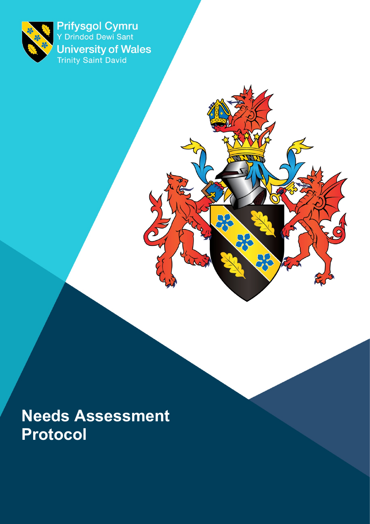

Prifysgol Cymru<br>Y Drindod Dewi Sant **University of Wales**<br>Trinity Saint David

 $\overline{O}$ 

 $\sum_{i=1}^{n}$ 

**Needs Assessment Protocol**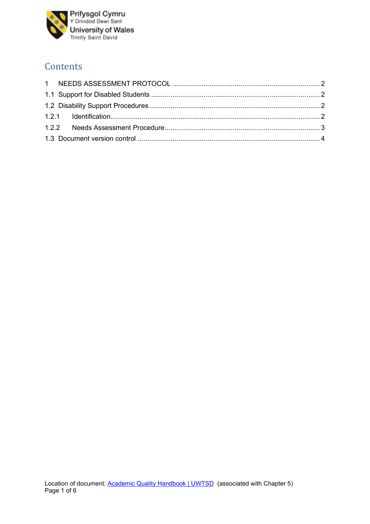

# **Contents**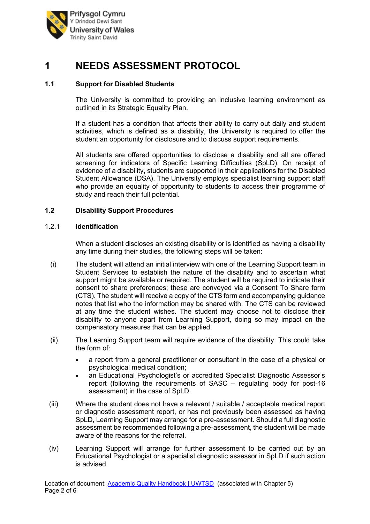

# **1 NEEDS ASSESSMENT PROTOCOL**

### **1.1 Support for Disabled Students**

The University is committed to providing an inclusive learning environment as outlined in its Strategic Equality Plan.

If a student has a condition that affects their ability to carry out daily and student activities, which is defined as a disability, the University is required to offer the student an opportunity for disclosure and to discuss support requirements.

All students are offered opportunities to disclose a disability and all are offered screening for indicators of Specific Learning Difficulties (SpLD). On receipt of evidence of a disability, students are supported in their applications for the Disabled Student Allowance (DSA). The University employs specialist learning support staff who provide an equality of opportunity to students to access their programme of study and reach their full potential.

#### **1.2 Disability Support Procedures**

#### 1.2.1 **Identification**

When a student discloses an existing disability or is identified as having a disability any time during their studies, the following steps will be taken:

- (i) The student will attend an initial interview with one of the Learning Support team in Student Services to establish the nature of the disability and to ascertain what support might be available or required. The student will be required to indicate their consent to share preferences; these are conveyed via a Consent To Share form (CTS). The student will receive a copy of the CTS form and accompanying guidance notes that list who the information may be shared with. The CTS can be reviewed at any time the student wishes. The student may choose not to disclose their disability to anyone apart from Learning Support, doing so may impact on the compensatory measures that can be applied.
- (ii) The Learning Support team will require evidence of the disability. This could take the form of:
	- a report from a general practitioner or consultant in the case of a physical or psychological medical condition;
	- an Educational Psychologist's or accredited Specialist Diagnostic Assessor's report (following the requirements of SASC – regulating body for post-16 assessment) in the case of SpLD.
- (iii) Where the student does not have a relevant / suitable / acceptable medical report or diagnostic assessment report, or has not previously been assessed as having SpLD, Learning Support may arrange for a pre-assessment. Should a full diagnostic assessment be recommended following a pre-assessment, the student will be made aware of the reasons for the referral.
- (iv) Learning Support will arrange for further assessment to be carried out by an Educational Psychologist or a specialist diagnostic assessor in SpLD if such action is advised.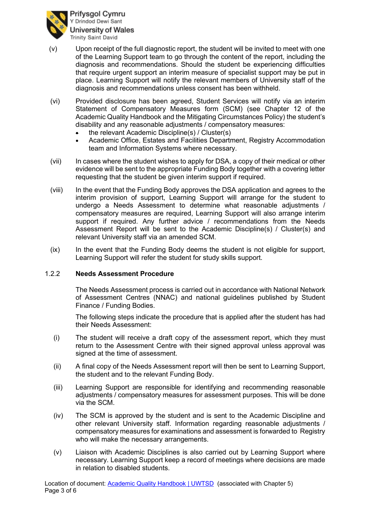

- (v) Upon receipt of the full diagnostic report, the student will be invited to meet with one of the Learning Support team to go through the content of the report, including the diagnosis and recommendations. Should the student be experiencing difficulties that require urgent support an interim measure of specialist support may be put in place. Learning Support will notify the relevant members of University staff of the diagnosis and recommendations unless consent has been withheld.
- (vi) Provided disclosure has been agreed, Student Services will notify via an interim Statement of Compensatory Measures form (SCM) (see Chapter 12 of the Academic Quality Handbook and the Mitigating Circumstances Policy) the student's disability and any reasonable adjustments / compensatory measures:
	- the relevant Academic Discipline(s) / Cluster(s)
	- Academic Office, Estates and Facilities Department, Registry Accommodation team and Information Systems where necessary.
- (vii) In cases where the student wishes to apply for DSA, a copy of their medical or other evidence will be sent to the appropriate Funding Body together with a covering letter requesting that the student be given interim support if required.
- (viii) In the event that the Funding Body approves the DSA application and agrees to the interim provision of support, Learning Support will arrange for the student to undergo a Needs Assessment to determine what reasonable adjustments / compensatory measures are required, Learning Support will also arrange interim support if required. Any further advice / recommendations from the Needs Assessment Report will be sent to the Academic Discipline(s) / Cluster(s) and relevant University staff via an amended SCM.
- (ix) In the event that the Funding Body deems the student is not eligible for support, Learning Support will refer the student for study skills support.

#### 1.2.2 **Needs Assessment Procedure**

The Needs Assessment process is carried out in accordance with National Network of Assessment Centres (NNAC) and national guidelines published by Student Finance / Funding Bodies.

The following steps indicate the procedure that is applied after the student has had their Needs Assessment:

- (i) The student will receive a draft copy of the assessment report, which they must return to the Assessment Centre with their signed approval unless approval was signed at the time of assessment.
- (ii) A final copy of the Needs Assessment report will then be sent to Learning Support, the student and to the relevant Funding Body.
- (iii) Learning Support are responsible for identifying and recommending reasonable adjustments / compensatory measures for assessment purposes. This will be done via the SCM.
- (iv) The SCM is approved by the student and is sent to the Academic Discipline and other relevant University staff. Information regarding reasonable adjustments / compensatory measures for examinations and assessment is forwarded to Registry who will make the necessary arrangements.
- (v) Liaison with Academic Disciplines is also carried out by Learning Support where necessary. Learning Support keep a record of meetings where decisions are made in relation to disabled students.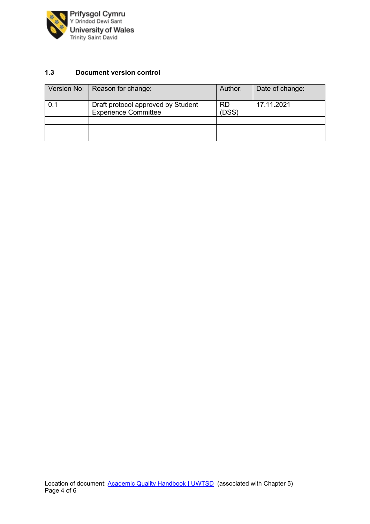

### **1.3 Document version control**

| Version No: | Reason for change:                                                | Author:            | Date of change: |
|-------------|-------------------------------------------------------------------|--------------------|-----------------|
| 0.1         | Draft protocol approved by Student<br><b>Experience Committee</b> | <b>RD</b><br>(DSS) | 17.11.2021      |
|             |                                                                   |                    |                 |
|             |                                                                   |                    |                 |
|             |                                                                   |                    |                 |